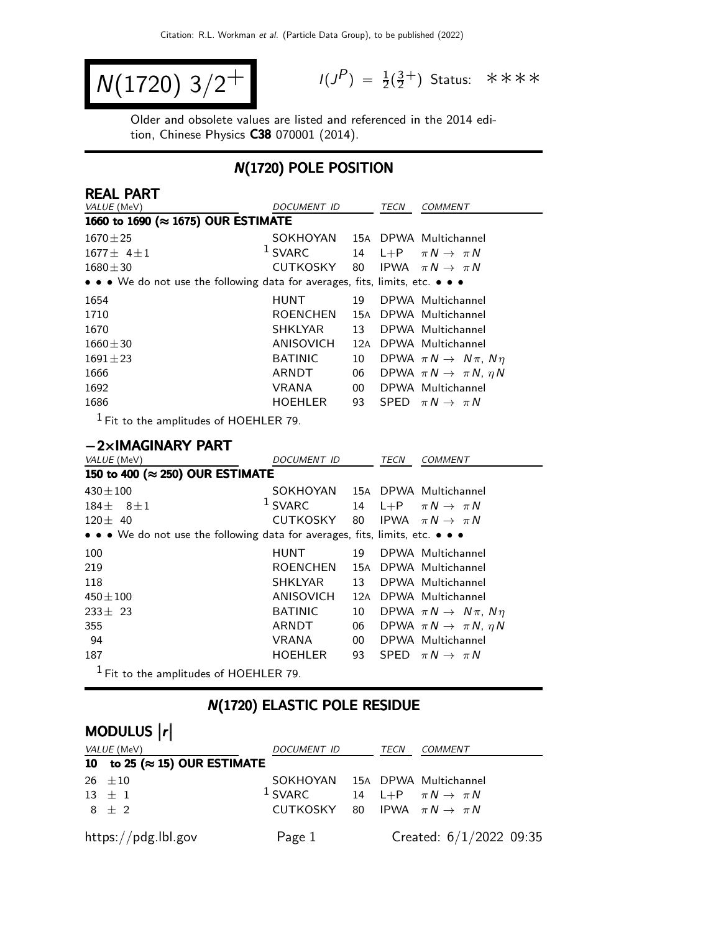$$
N(1720) 3/2^+
$$

 $P$ ) =  $\frac{1}{2}(\frac{3}{2})$  $\frac{3}{2}^+$ ) Status: \*\*\*\*

Older and obsolete values are listed and referenced in the 2014 edition, Chinese Physics C38 070001 (2014).

## N(1720) POLE POSITION

| <b>REAL PART</b>                                                              |                  |        |         |                                           |
|-------------------------------------------------------------------------------|------------------|--------|---------|-------------------------------------------|
| VALUE (MeV)<br>DOCUMENT ID                                                    |                  |        | TECN    | <b>COMMENT</b>                            |
| 1660 to 1690 (≈ 1675) OUR ESTIMATE                                            |                  |        |         |                                           |
| $1670 \pm 25$                                                                 | SOKHOYAN         |        |         | 15A DPWA Multichannel                     |
| $1677 \pm 4 \pm 1$                                                            | $1$ SVARC        | 14     | $L + P$ | $\pi N \rightarrow \pi N$                 |
| $1680 \pm 30$                                                                 | <b>CUTKOSKY</b>  | 80     |         | IPWA $\pi N \rightarrow \pi N$            |
| • • • We do not use the following data for averages, fits, limits, etc. • • • |                  |        |         |                                           |
| 1654                                                                          | <b>HUNT</b>      | 19     |         | DPWA Multichannel                         |
| 1710                                                                          | <b>ROENCHEN</b>  | 15A    |         | DPWA Multichannel                         |
| 1670                                                                          | <b>SHKLYAR</b>   | 13     |         | DPWA Multichannel                         |
| $1660 \pm 30$                                                                 | ANISOVICH        | 12A    |         | DPWA Multichannel                         |
| $1691 \pm 23$                                                                 | <b>BATINIC</b>   | 10     |         | DPWA $\pi N \rightarrow N \pi$ , $N \eta$ |
| 1666                                                                          | <b>ARNDT</b>     | 06     |         | DPWA $\pi N \rightarrow \pi N$ , $\eta N$ |
| 1692                                                                          | <b>VRANA</b>     | $00\,$ |         | DPWA Multichannel                         |
| 1686                                                                          | <b>HOEHLER</b>   | 93     | SPED    | $\pi N \rightarrow \pi N$                 |
| $1$ Fit to the amplitudes of HOEHLER 79.                                      |                  |        |         |                                           |
|                                                                               |                  |        |         |                                           |
| $-2\times$ IMAGINARY PART                                                     |                  |        |         |                                           |
| VALUE (MeV)                                                                   | DOCUMENT ID      |        | TECN    | <b>COMMENT</b>                            |
| 150 to 400 (≈ 250) OUR ESTIMATE                                               |                  |        |         |                                           |
| $430 \pm 100$                                                                 | SOKHOYAN         |        |         | 15A DPWA Multichannel                     |
| $184 +$<br>$8 + 1$                                                            | $1$ SVARC        | 14     | $L + P$ | $\pi N \rightarrow \pi N$                 |
| $120 \pm 40$                                                                  | <b>CUTKOSKY</b>  | 80     |         | IPWA $\pi N \rightarrow \pi N$            |
| • • • We do not use the following data for averages, fits, limits, etc. • • • |                  |        |         |                                           |
| 100                                                                           | <b>HUNT</b>      | 19     |         | DPWA Multichannel                         |
| 219                                                                           | <b>ROENCHEN</b>  | 15A    |         | DPWA Multichannel                         |
| 118                                                                           | <b>SHKLYAR</b>   | 13     |         | DPWA Multichannel                         |
| $450 \pm 100$                                                                 | <b>ANISOVICH</b> | 12A    |         | DPWA Multichannel                         |
| $233 \pm 23$                                                                  | <b>BATINIC</b>   | 10     |         | DPWA $\pi N \rightarrow N \pi$ , $N \eta$ |
| 355                                                                           | ARNDT            | 06     |         | DPWA $\pi N \rightarrow \pi N$ , $\eta N$ |
| 94                                                                            | <b>VRANA</b>     | $00\,$ |         | DPWA Multichannel                         |
| 187                                                                           | <b>HOEHLER</b>   | 93     |         | SPED $\pi N \rightarrow \pi N$            |
| $1$ Fit to the amplitudes of HOEHLER 79.                                      |                  |        |         |                                           |

## N(1720) ELASTIC POLE RESIDUE

# MODULUS  $\vert r \vert$

| VALUE (MeV)                           | DOCUMENT ID                                         | TECN | COMMENT                   |
|---------------------------------------|-----------------------------------------------------|------|---------------------------|
| 10 to 25 ( $\approx$ 15) OUR ESTIMATE |                                                     |      |                           |
| $26 \pm 10$                           | SOKHOYAN 15A DPWA Multichannel                      |      |                           |
| $13 \pm 1$                            | <sup>1</sup> SVARC 14 L+P $\pi N \rightarrow \pi N$ |      |                           |
| $8 + 2$                               | CUTKOSKY 80 IPWA $\pi N \rightarrow \pi N$          |      |                           |
| https://pdg.lbl.gov                   | Page 1                                              |      | Created: $6/1/2022$ 09:35 |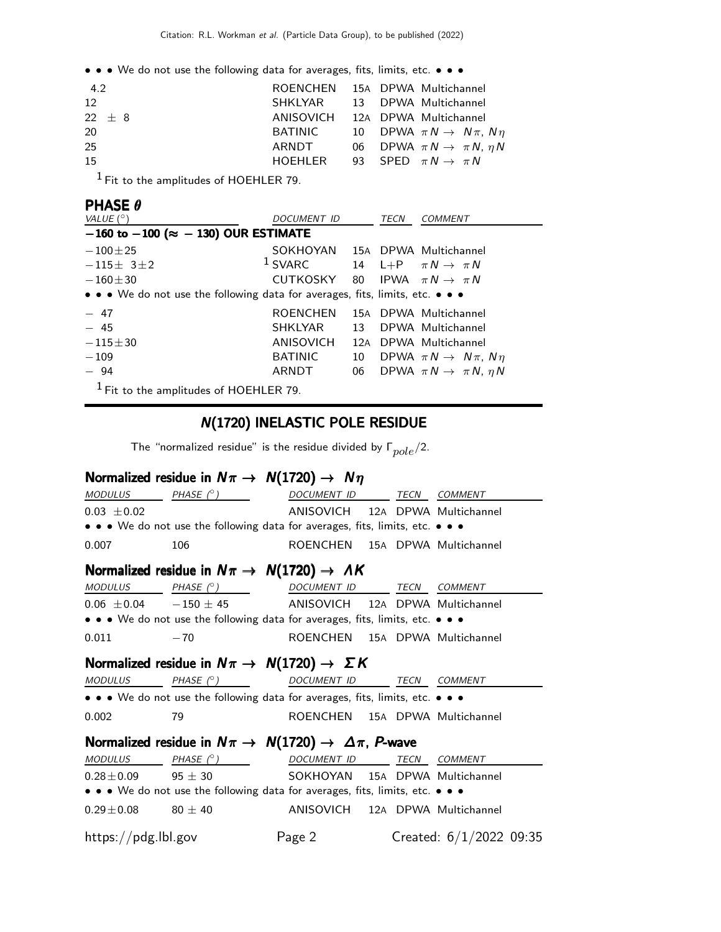• • • We do not use the following data for averages, fits, limits, etc. • • •

| 4.2      | ROENCHEN 15A DPWA Multichannel    |  |                                                |
|----------|-----------------------------------|--|------------------------------------------------|
| 12       | SHKLYAR 13 DPWA Multichannel      |  |                                                |
| $22 + 8$ | ANISOVICH 12A DPWA Multichannel   |  |                                                |
| 20       | BATINIC                           |  | 10 DPWA $\pi\,N \rightarrow\,N\,\pi,\,N\,\eta$ |
| 25       | ARNDT                             |  | 06 DPWA $\pi N \rightarrow \pi N$ , $\eta N$   |
| 15       | HOEHLER 93 SPED $\pi N \to \pi N$ |  |                                                |
|          |                                   |  |                                                |

1 Fit to the amplitudes of HOEHLER 79.

## PHASE θ

| VALUE $(^\circ)$                                                              | DOCUMENT ID                    |                 | TECN | <b>COMMENT</b>                               |
|-------------------------------------------------------------------------------|--------------------------------|-----------------|------|----------------------------------------------|
| $-160$ to $-100$ ( $\approx -130$ ) OUR ESTIMATE                              |                                |                 |      |                                              |
| $-100\pm 25$                                                                  | SOKHOYAN 15A DPWA Multichannel |                 |      |                                              |
| $-115\pm 31\pm 2$                                                             | $1$ SVARC                      |                 |      | 14 L+P $\pi N \rightarrow \pi N$             |
| $-160 + 30$                                                                   | CUTKOSKY                       |                 |      | 80 IPWA $\pi N \rightarrow \pi N$            |
| • • • We do not use the following data for averages, fits, limits, etc. • • • |                                |                 |      |                                              |
| $-47$                                                                         | <b>ROENCHEN</b>                |                 |      | 15A DPWA Multichannel                        |
| $-45$                                                                         | SHKLYAR                        | 13 <sup>7</sup> |      | DPWA Multichannel                            |
| $-115 + 30$                                                                   | ANISOVICH                      |                 |      | 12A DPWA Multichannel                        |
| $-109$                                                                        | <b>BATINIC</b>                 | 10              |      | DPWA $\pi N \rightarrow N \pi$ , $N \eta$    |
| $-94$                                                                         | ARNDT                          |                 |      | 06 DPWA $\pi N \rightarrow \pi N$ , $\eta N$ |
| $1$ Fit to the amplitudes of HOEHLER 79.                                      |                                |                 |      |                                              |

### N(1720) INELASTIC POLE RESIDUE

The "normalized residue" is the residue divided by  $\Gamma_{pole}/2$ .

### Normalized residue in  $N\pi \rightarrow N(1720) \rightarrow N\eta$

| <i>MODULUS</i>                                                        | PHASE $(^\circ)$                                                                 | DOCUMENT ID TECN COMMENT        |  |  |                           |
|-----------------------------------------------------------------------|----------------------------------------------------------------------------------|---------------------------------|--|--|---------------------------|
| $0.03 \pm 0.02$                                                       |                                                                                  | ANISOVICH 12A DPWA Multichannel |  |  |                           |
|                                                                       | • • • We do not use the following data for averages, fits, limits, etc. • • •    |                                 |  |  |                           |
| 0.007                                                                 | 106                                                                              | ROENCHEN 15A DPWA Multichannel  |  |  |                           |
|                                                                       | Normalized residue in $N\pi \rightarrow N(1720) \rightarrow AK$                  |                                 |  |  |                           |
|                                                                       | MODULUS PHASE (°) DOCUMENT ID TECN COMMENT                                       |                                 |  |  |                           |
|                                                                       | $0.06 \pm 0.04$ -150 $\pm$ 45 ANISOVICH 12A DPWA Multichannel                    |                                 |  |  |                           |
|                                                                       | • • • We do not use the following data for averages, fits, limits, etc. • • •    |                                 |  |  |                           |
| 0.011                                                                 | $-70$                                                                            | ROENCHEN 15A DPWA Multichannel  |  |  |                           |
| Normalized residue in $N\pi \rightarrow N(1720) \rightarrow \Sigma K$ |                                                                                  |                                 |  |  |                           |
| MODULUS                                                               | PHASE $(^\circ)$                                                                 | DOCUMENT ID TECN COMMENT        |  |  |                           |
|                                                                       | • • • We do not use the following data for averages, fits, limits, etc. • • •    |                                 |  |  |                           |
| 0.002                                                                 | 79                                                                               | ROENCHEN 15A DPWA Multichannel  |  |  |                           |
|                                                                       | Normalized residue in $N\pi \rightarrow N(1720) \rightarrow \Delta \pi$ , P-wave |                                 |  |  |                           |
|                                                                       | MODULUS PHASE (°) DOCUMENT ID TECN COMMENT                                       |                                 |  |  |                           |
|                                                                       | $0.28 \pm 0.09$ 95 $\pm$ 30                                                      | SOKHOYAN 15A DPWA Multichannel  |  |  |                           |
|                                                                       | • • • We do not use the following data for averages, fits, limits, etc. • • •    |                                 |  |  |                           |
| $0.29 \pm 0.08$ 80 $\pm$ 40                                           |                                                                                  | ANISOVICH 12A DPWA Multichannel |  |  |                           |
| https://pdg.lbl.gov                                                   |                                                                                  | Page 2                          |  |  | Created: $6/1/2022$ 09:35 |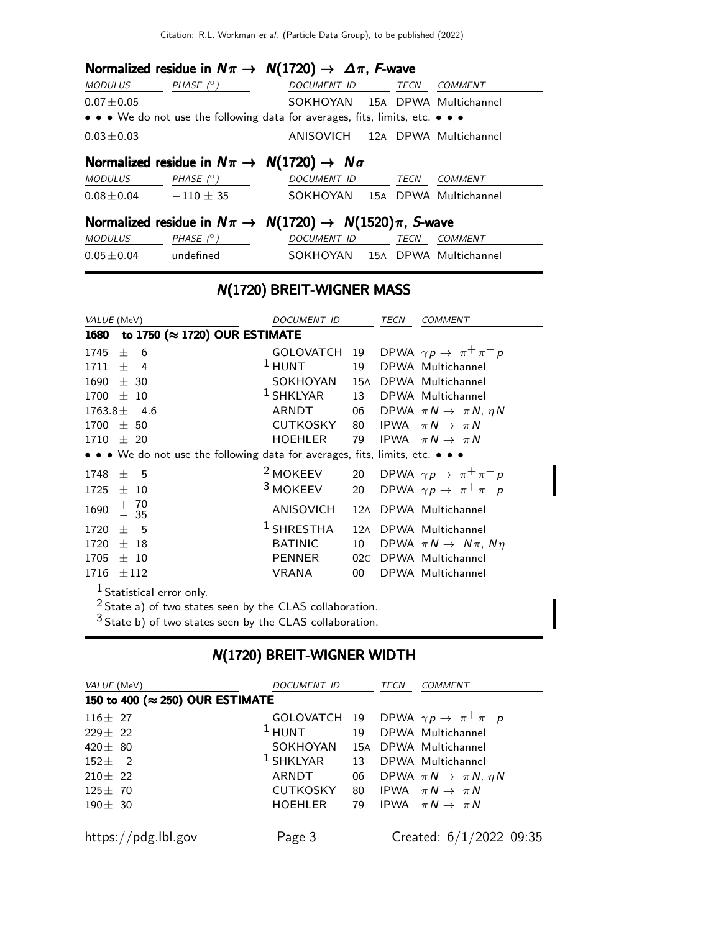## Normalized residue in  $N\pi \to N(1720) \to \Delta \pi$ , F-wave

| <i>MODULUS</i>  | PHASE $(^\circ)$                                                                                                      | <i>DOCUMENT ID</i>              | TECN | COMMENT |
|-----------------|-----------------------------------------------------------------------------------------------------------------------|---------------------------------|------|---------|
| $0.07 \pm 0.05$ |                                                                                                                       | SOKHOYAN 15A DPWA Multichannel  |      |         |
|                 | $\bullet \bullet \bullet$ We do not use the following data for averages, fits, limits, etc. $\bullet \bullet \bullet$ |                                 |      |         |
| $0.03 \pm 0.03$ |                                                                                                                       | ANISOVICH 12A DPWA Multichannel |      |         |

# Normalized residue in  $N\pi \rightarrow N(1720) \rightarrow N\sigma$

| <i>MODULUS</i>  | PHASE $(^\circ)$ | <i>DOCUMENT ID</i> | <b>TFCN</b> | <i>COMMENT</i>        |
|-----------------|------------------|--------------------|-------------|-----------------------|
| $0.08 \pm 0.04$ | $-110 + 35$      | SOKHOYAN           |             | 15A DPWA Multichannel |

## Normalized residue in  $N\pi \rightarrow N(1720) \rightarrow N(1520)\pi$ , S-wave

| <i>MODULUS</i> | PHASE (° ) | <i>DOCUMENT ID</i> | TFCN | COMMENT               |
|----------------|------------|--------------------|------|-----------------------|
| $0.05\pm0.04$  | undefined  | SOKHOYAN           |      | 15A DPWA Multichannel |

## N(1720) BREIT-WIGNER MASS

| VALUE (MeV)                                                                   | DOCUMENT ID                    |     | TECN | <b>COMMENT</b>                               |  |
|-------------------------------------------------------------------------------|--------------------------------|-----|------|----------------------------------------------|--|
| to 1750 (≈ 1720) OUR ESTIMATE<br>1680                                         |                                |     |      |                                              |  |
| 1745<br>士<br>- 6                                                              | GOLOVATCH 19                   |     |      | DPWA $\gamma p \rightarrow \pi^+ \pi^- p$    |  |
| 1711<br>$\pm$ 4                                                               | $1$ HUNT                       | 19  |      | DPWA Multichannel                            |  |
| $1690 \pm 30$                                                                 | SOKHOYAN 15A DPWA Multichannel |     |      |                                              |  |
| 1700<br>$\pm$ 10                                                              | $1$ SHKLYAR                    | 13  |      | DPWA Multichannel                            |  |
| 1763.8 $\pm$<br>4.6                                                           | ARNDT                          | 06  |      | DPWA $\pi N \rightarrow \pi N$ , $\eta N$    |  |
| $1700 \pm 50$                                                                 | CUTKOSKY                       | 80  |      | IPWA $\pi N \rightarrow \pi N$               |  |
| $1710 \pm 20$                                                                 | HOEHLER                        | 79  |      | IPWA $\pi N \rightarrow \pi N$               |  |
| • • • We do not use the following data for averages, fits, limits, etc. • • • |                                |     |      |                                              |  |
| 1748<br>$\pm$ 5                                                               | <sup>2</sup> MOKEEV            |     |      | 20 DPWA $\gamma p \rightarrow \pi^+ \pi^- p$ |  |
| $1725 \pm 10$                                                                 | <sup>3</sup> MOKEEV            |     |      | 20 DPWA $\gamma p \rightarrow \pi^+ \pi^- p$ |  |
| $\begin{array}{r} + 70 \\ - 35 \end{array}$<br>1690                           | ANISOVICH                      | 12A |      | DPWA Multichannel                            |  |
| 1720<br>$\pm$ 5                                                               | <sup>1</sup> SHRESTHA          |     |      | 12A DPWA Multichannel                        |  |
| 1720<br>$\pm$ 18                                                              | <b>BATINIC</b>                 | 10  |      | DPWA $\pi N \rightarrow N \pi$ , $N \eta$    |  |
| 1705<br>± 10                                                                  | PENNER                         | 02C |      | DPWA Multichannel                            |  |
| 1716<br>±112                                                                  | VRANA                          | 00  |      | DPWA Multichannel                            |  |
| $1$ Statistical error only.                                                   |                                |     |      |                                              |  |
| $2$ State a) of two states seen by the CLAS collaboration.                    |                                |     |      |                                              |  |

State b) of two states seen by the CLAS collaboration.

### N(1720) BREIT-WIGNER WIDTH

| <i>VALUE</i> (MeV)                       | DOCUMENT ID                            |  |  |                                                | TECN | COMMENT |
|------------------------------------------|----------------------------------------|--|--|------------------------------------------------|------|---------|
| 150 to 400 ( $\approx$ 250) OUR ESTIMATE |                                        |  |  |                                                |      |         |
| $116 \pm 27$                             |                                        |  |  | GOLOVATCH 19 DPWA $\gamma p \to \pi^+ \pi^- p$ |      |         |
| $229 \pm 22$                             | <sup>1</sup> HUNT 19 DPWA Multichannel |  |  |                                                |      |         |
| 420 $\pm$ 80                             | SOKHOYAN 15A DPWA Multichannel         |  |  |                                                |      |         |
| $152 \pm 2$                              | $1$ SHKLYAR $13$ DPWA Multichannel     |  |  |                                                |      |         |
| $210 \pm 22$                             | ARNDT                                  |  |  | 06 DPWA $\pi N \rightarrow \pi N$ , $\eta N$   |      |         |
| $125 \pm 70$                             | CUTKOSKY                               |  |  | 80 IPWA $\pi N \rightarrow \pi N$              |      |         |
| $190 \pm 30$                             | HOEHLER                                |  |  | 79 IPWA $\pi N \rightarrow \pi N$              |      |         |
| https://pdg.lbl.gov                      | Page 3                                 |  |  | Created: $6/1/2022$ 09:35                      |      |         |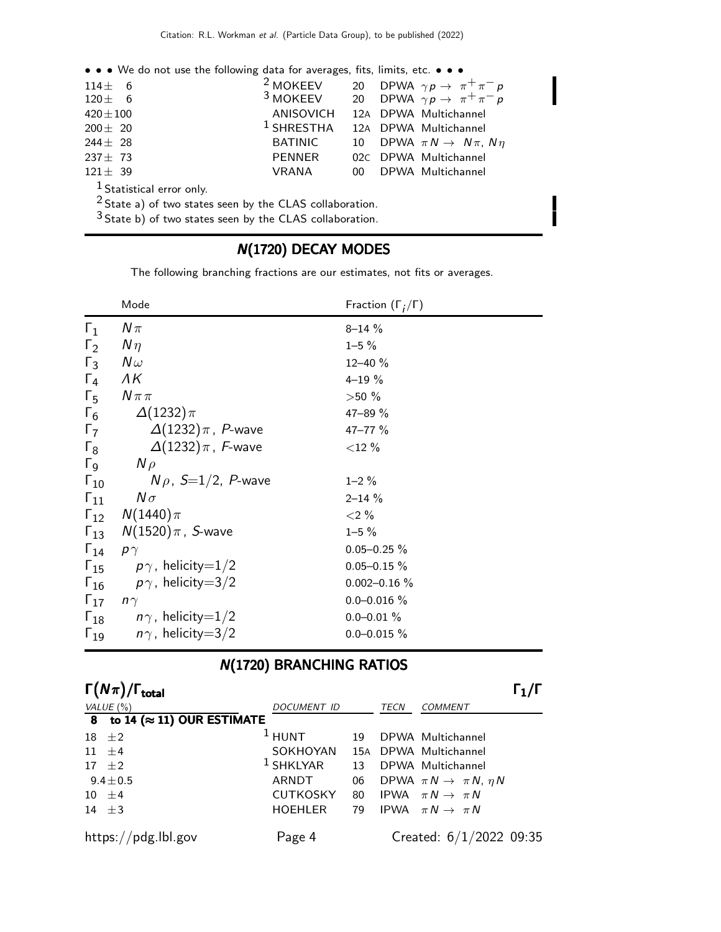| • • • We do not use the following data for averages, fits, limits, etc. • • • |                                                                  |  |  |                                              |  |
|-------------------------------------------------------------------------------|------------------------------------------------------------------|--|--|----------------------------------------------|--|
| $114 \pm 6$                                                                   | <sup>2</sup> MOKEEV 20 DPWA $\gamma p \rightarrow \pi^+ \pi^- p$ |  |  |                                              |  |
| $120 \pm 6$                                                                   | <sup>3</sup> MOKEEV 20 DPWA $\gamma p \rightarrow \pi^+ \pi^- p$ |  |  |                                              |  |
| $420 \pm 100$                                                                 | ANISOVICH 12A DPWA Multichannel                                  |  |  |                                              |  |
| $200 \pm 20$                                                                  | $1$ SHRESTHA                                                     |  |  | 12A DPWA Multichannel                        |  |
| $244 \pm 28$                                                                  | <b>BATINIC</b>                                                   |  |  | 10 DPWA $\pi N \rightarrow N \pi$ , $N \eta$ |  |
| $237 \pm 73$                                                                  | PENNER                                                           |  |  | 02C DPWA Multichannel                        |  |
| $121 \pm 39$                                                                  | VRANA                                                            |  |  | 00 DPWA Multichannel                         |  |
| <sup>1</sup> Statistical error only.                                          |                                                                  |  |  |                                              |  |
| $2$ State a) of two states seen by the CLAS collaboration.                    |                                                                  |  |  |                                              |  |
| $3$ State b) of two states seen by the CLAS collaboration.                    |                                                                  |  |  |                                              |  |

# N(1720) DECAY MODES

The following branching fractions are our estimates, not fits or averages.

|                         | Mode                                    | Fraction $(\Gamma_i/\Gamma)$ |
|-------------------------|-----------------------------------------|------------------------------|
| $\Gamma_1$              | $N\pi$                                  | $8 - 14 \%$                  |
| $\Gamma_2$              | $N\eta$                                 | $1 - 5 \%$                   |
| $\Gamma_3$              | $N\omega$                               | $12 - 40 \%$                 |
| $\Gamma_4$              | $\Lambda K$                             | $4 - 19 \%$                  |
| $\Gamma_{5}$            | $N\pi\pi$                               | $>50\%$                      |
| $\Gamma_6$              | $\Delta(1232)\pi$                       | 47-89 %                      |
| $\Gamma_7$              | $\Delta(1232)\,\pi$ , $\,P\text{-wave}$ | 47-77 %                      |
| $\Gamma_8$              | $\Delta(1232)\,\pi$ , F-wave            | $<$ 12 %                     |
| $\Gamma$ <sub>9</sub>   | $N \rho$                                |                              |
| $\Gamma_{10}$           | $N \rho$ , $S=1/2$ , P-wave             | $1 - 2 \%$                   |
|                         | $\Gamma_{11}$ $N\sigma$                 | $2 - 14 \%$                  |
|                         | $\Gamma_{12}$ $N(1440)\pi$              | ${<}2\%$                     |
|                         | $\Gamma_{13}$ $N(1520)\pi$ , S-wave     | $1 - 5 \%$                   |
| $\Gamma_{14}$ $p\gamma$ |                                         | $0.05 - 0.25 \%$             |
|                         | $\Gamma_{15}$ $p\gamma$ , helicity=1/2  | $0.05 - 0.15 \%$             |
|                         | $\Gamma_{16}$ $p\gamma$ , helicity=3/2  | $0.002 - 0.16 %$             |
| $\Gamma_{17}$ $n\gamma$ |                                         | $0.0 - 0.016$ %              |
|                         | $\Gamma_{18}$ $n\gamma$ , helicity=1/2  | $0.0 - 0.01 \%$              |
|                         | $\Gamma_{19}$ $n\gamma$ , helicity=3/2  | $0.0 - 0.015 \%$             |

# N(1720) BRANCHING RATIOS

| $\Gamma(N\pi)/\Gamma_{\rm total}$    |                                |    |             |                                           |  |
|--------------------------------------|--------------------------------|----|-------------|-------------------------------------------|--|
| VALUE $(\% )$                        | DOCUMENT ID                    |    | <b>TECN</b> | <b>COMMENT</b>                            |  |
| 8 to 14 ( $\approx$ 11) OUR ESTIMATE |                                |    |             |                                           |  |
| $18 \pm 2$                           | $1$ HUNT                       | 19 |             | DPWA Multichannel                         |  |
| $11 \pm 4$                           | SOKHOYAN 15A DPWA Multichannel |    |             |                                           |  |
| $17 \pm 2$                           | $1$ SHKLYAR                    | 13 |             | DPWA Multichannel                         |  |
| $9.4 \pm 0.5$                        | ARNDT                          | 06 |             | DPWA $\pi N \rightarrow \pi N$ , $\eta N$ |  |
| $10 \pm 4$                           | <b>CUTKOSKY</b>                | 80 |             | IPWA $\pi N \rightarrow \pi N$            |  |
| 14 $\pm$ 3                           | <b>HOEHLER</b>                 | 79 |             | IPWA $\pi N \rightarrow \pi N$            |  |
| https://pdg.lbl.gov                  | Page 4                         |    |             | Created: $6/1/2022$ 09:35                 |  |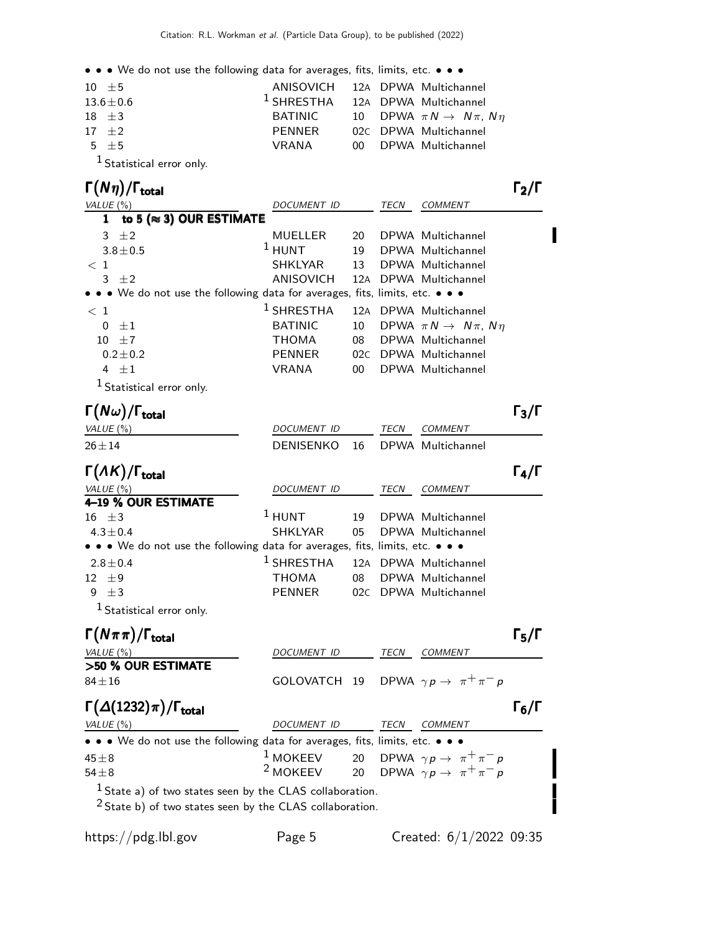• • • We do not use the following data for averages, fits, limits, etc. • • •

| $10 \pm 5$                 | ANISOVICH 12A DPWA Multichannel             |  |                                              |
|----------------------------|---------------------------------------------|--|----------------------------------------------|
| $13.6 \pm 0.6$             | <sup>1</sup> SHRESTHA 12A DPWA Multichannel |  |                                              |
| $18 + 3$                   | BATINIC                                     |  | 10 DPWA $\pi N \rightarrow N \pi$ , $N \eta$ |
| $17 + 2$                   | PENNER                                      |  | 02C DPWA Multichannel                        |
| $5 + 5$                    | VRANA                                       |  | 00 DPWA Multichannel                         |
| $1$ constant in the $\sim$ |                                             |  |                                              |

#### 1 Statistical error only.

#### Γ $(Nη)/\Gamma_{\text{total}}$  Γ $_2/\Gamma$ /Γ $_{\rm total}$ Γ $_{\rm 2/}$ Γ

VALUE (%)  $DOCUMENT$  ID TECN COMMENT 1 to 5 ( $\approx$  3) OUR ESTIMATE 3  $\pm$ 2 MUELLER 20 DPWA Multichannel  $3.8 \pm 0.5$ <sup>1</sup> HUNT 19 DPWA Multichannel < 1 SHKLYAR 13 DPWA Multichannel 3 ±2 ANISOVICH 12<sup>A</sup> DPWA Multichannel • • • We do not use the following data for averages, fits, limits, etc. • • •  $< 1$ 1 SHRESTHA 12<sup>A</sup> DPWA Multichannel 0  $\pm 1$  BATINIC 10 DPWA  $\pi N \to N \pi$ ,  $N \eta$ 10  $\pm$ 7 THOMA 08 DPWA Multichannel 0.2 $\pm$ 0.2 PENNER 02C DPWA Multichannel 4  $\pm 1$  VRANA 00 DPWA Multichannel <sup>1</sup> Statistical error only.

| $\Gamma(N\omega)/\Gamma_{\rm total}$ |                                |      |                | $\Gamma_3/\Gamma$ |
|--------------------------------------|--------------------------------|------|----------------|-------------------|
| VALUE (%)                            | DOCUMENT ID                    | TECN | <i>COMMENT</i> |                   |
| $26 \pm 14$                          | DENISENKO 16 DPWA Multichannel |      |                |                   |

| $\Gamma(\Lambda K)/\Gamma_{\rm total}$                                        |                                             |    |             |                       |  |
|-------------------------------------------------------------------------------|---------------------------------------------|----|-------------|-----------------------|--|
| VALUE $(\% )$                                                                 | DOCUMENT ID                                 |    | <b>TECN</b> | <b>COMMENT</b>        |  |
| 4-19 % OUR ESTIMATE                                                           |                                             |    |             |                       |  |
| $16 \pm 3$                                                                    | $1$ HUNT                                    | 19 |             | DPWA Multichannel     |  |
| $4.3 \pm 0.4$                                                                 | SHKLYAR                                     |    |             | 05 DPWA Multichannel  |  |
| • • • We do not use the following data for averages, fits, limits, etc. • • • |                                             |    |             |                       |  |
| $2.8 \pm 0.4$                                                                 | <sup>1</sup> SHRESTHA 12A DPWA Multichannel |    |             |                       |  |
| $12 \pm 9$                                                                    | THOMA                                       | 08 |             | DPWA Multichannel     |  |
| 9 $\pm 3$                                                                     | <b>PENNER</b>                               |    |             | 02C DPWA Multichannel |  |
| <sup>1</sup> Statistical error only.                                          |                                             |    |             |                       |  |

#### $\Gamma(N\pi\pi)/\Gamma_{\rm total}$  Γ<sub>5</sub>/Γ total and the set of the set of the set of the set of the set of the set of the set of the set of the set of t VALUE (%) DOCUMENT ID TECN COMMENT >50 % OUR ESTIMATE  $84 \pm 16$  GOLOVATCH 19 DPWA  $\gamma p \rightarrow \pi^+ \pi^- p$  $\Gamma(\Delta(1232)\pi)/\Gamma_{\rm total}$  Γ<sub>6</sub>/Γ VALUE (%) DOCUMENT ID TECN COMMENT • • • We do not use the following data for averages, fits, limits, etc. • • • 45±8 <sup>1</sup> MOKEEV 20 DPWA  $\gamma p \to \pi^+ \pi^- p$ <br><sup>2</sup> MOKEEV 20 DPWA  $\gamma p \to \pi^+ \pi^- p$ 54±8 20 DPWA  $\gamma p \rightarrow \pi^+ \pi^- p$  $<sup>1</sup>$  State a) of two states seen by the CLAS collaboration.</sup>

 $2$  State b) of two states seen by the CLAS collaboration.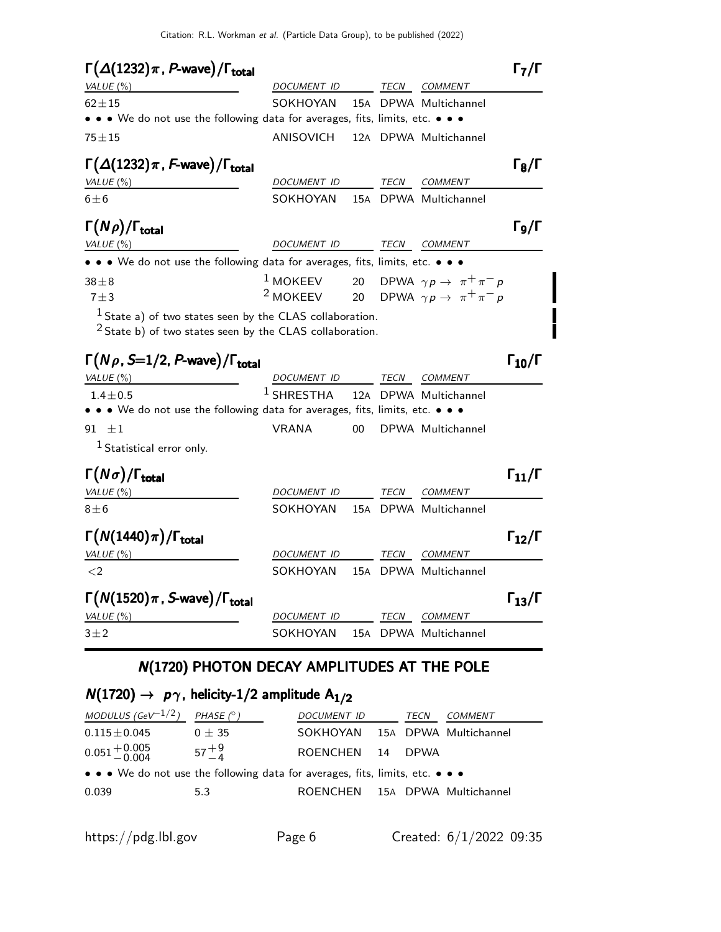| $\Gamma(\Delta(1232)\pi, P$ -wave)/ $\Gamma_{\text{total}}$                   |               |    |             |                                                                  | $\mathsf{I}_7/\mathsf{F}$ |
|-------------------------------------------------------------------------------|---------------|----|-------------|------------------------------------------------------------------|---------------------------|
| VALUE $(\%)$                                                                  | DOCUMENT ID   |    | <b>TECN</b> | <b>COMMENT</b>                                                   |                           |
| $62 + 15$                                                                     | SOKHOYAN      |    |             | 15A DPWA Multichannel                                            |                           |
| • • • We do not use the following data for averages, fits, limits, etc. • • • |               |    |             |                                                                  |                           |
| $75 + 15$                                                                     | ANISOVICH     |    |             | 12A DPWA Multichannel                                            |                           |
| $\Gamma(\Delta(1232)\pi, F$ -wave)/ $\Gamma_{\text{total}}$                   |               |    |             |                                                                  | $\Gamma_8/\Gamma$         |
| VALUE $(\%)$                                                                  | DOCUMENT ID   |    | TECN        | <b>COMMENT</b>                                                   |                           |
| $6 \pm 6$                                                                     | SOKHOYAN      |    |             | 15A DPWA Multichannel                                            |                           |
| $\Gamma(N\rho)/\Gamma_{\rm total}$                                            |               |    |             |                                                                  | Г9/Г                      |
| VALUE $(\%)$                                                                  | DOCUMENT ID   |    | TECN        | COMMENT                                                          |                           |
| • • • We do not use the following data for averages, fits, limits, etc. • • • |               |    |             |                                                                  |                           |
| $38\pm8$                                                                      |               |    |             | <sup>1</sup> MOKEEV 20 DPWA $\gamma p \rightarrow \pi^+ \pi^- p$ |                           |
| $7 + 3$                                                                       |               |    |             | <sup>2</sup> MOKEEV 20 DPWA $\gamma p \rightarrow \pi^+ \pi^- p$ |                           |
| $1$ State a) of two states seen by the CLAS collaboration.                    |               |    |             |                                                                  |                           |
| <sup>2</sup> State b) of two states seen by the CLAS collaboration.           |               |    |             |                                                                  |                           |
| $\Gamma(N\rho, S=1/2, P$ -wave)/ $\Gamma_{\text{total}}$                      |               |    |             |                                                                  | $\Gamma_{10}/\Gamma$      |
| VALUE $(\% )$                                                                 | DOCUMENT ID   |    | <b>TECN</b> | <b>COMMENT</b>                                                   |                           |
| $1.4 + 0.5$                                                                   | $^1$ SHRESTHA |    |             | 12A DPWA Multichannel                                            |                           |
| • • • We do not use the following data for averages, fits, limits, etc. • • • |               |    |             |                                                                  |                           |
| 91 $\pm 1$                                                                    | <b>VRANA</b>  | 00 |             | DPWA Multichannel                                                |                           |

1 Statistical error only.

| $\Gamma(N\sigma)/\Gamma_{\rm total}$                   |                    |      |                       | $\Gamma_{11}/\Gamma$ |
|--------------------------------------------------------|--------------------|------|-----------------------|----------------------|
| VALUE $(\% )$                                          | <b>DOCUMENT ID</b> | TECN | COMMENT               |                      |
| $8\pm 6$                                               | SOKHOYAN           |      | 15A DPWA Multichannel |                      |
| $\Gamma(N(1440)\pi)/\Gamma_{\rm total}$                |                    |      |                       | $\Gamma_{12}/\Gamma$ |
| VALUE $(\%)$                                           | <b>DOCUMENT ID</b> | TECN | COMMENT               |                      |
| $\langle 2$                                            | SOKHOYAN           |      | 15A DPWA Multichannel |                      |
| $\Gamma(N(1520)\pi, S$ -wave)/ $\Gamma_{\text{total}}$ |                    |      |                       | $\Gamma_{13}/\Gamma$ |
| VALUE $(\%)$                                           | <i>DOCUMENT ID</i> | TECN | <b>COMMENT</b>        |                      |
| $3 + 2$                                                | SOKHOYAN           |      | 15A DPWA Multichannel |                      |

# N(1720) PHOTON DECAY AMPLITUDES AT THE POLE

## $N(1720) \rightarrow p\gamma$ , helicity-1/2 amplitude  $A_{1/2}$

| MODULUS (GeV <sup>-1/2</sup> )                                                | PHASE $(^\circ)$ | DOCUMENT ID                    |    | <i>TECN</i> | COMMENT |  |  |
|-------------------------------------------------------------------------------|------------------|--------------------------------|----|-------------|---------|--|--|
| $0.115 \pm 0.045$                                                             | $0 \pm 35$       | SOKHOYAN 15A DPWA Multichannel |    |             |         |  |  |
| $0.051 + 0.005$                                                               | $57^{+9}_{-4}$   | ROENCHEN                       | 14 | <b>DPWA</b> |         |  |  |
| • • • We do not use the following data for averages, fits, limits, etc. • • • |                  |                                |    |             |         |  |  |
| 0.039                                                                         | 5.3              | ROENCHEN 15A DPWA Multichannel |    |             |         |  |  |
|                                                                               |                  |                                |    |             |         |  |  |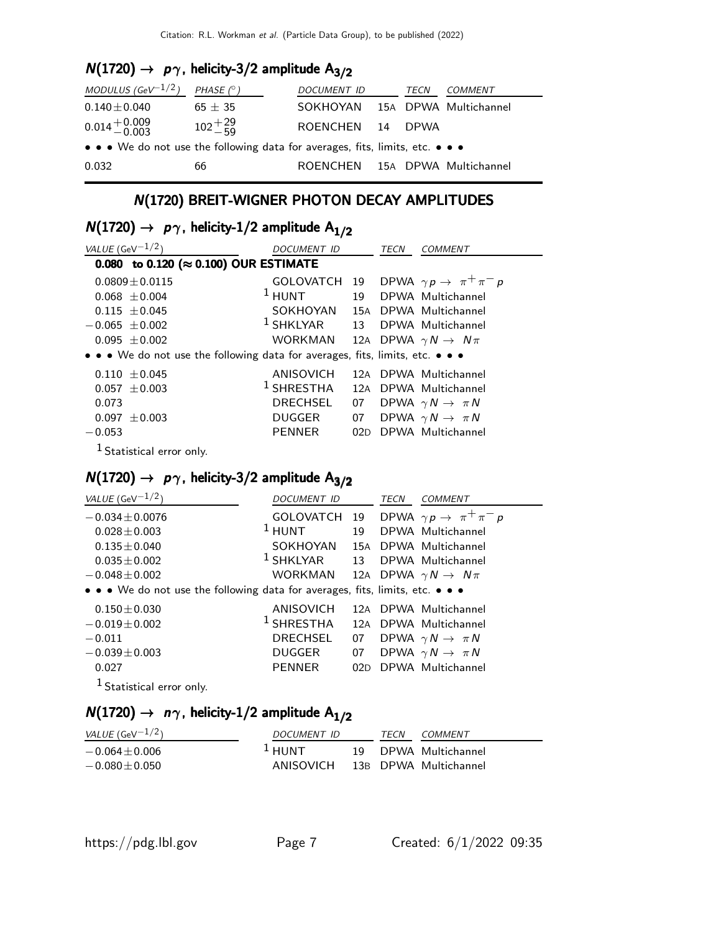# $N(1720) \rightarrow p\gamma$ , helicity-3/2 amplitude A<sub>3/2</sub>

| MODULUS (GeV <sup>-1/2</sup> )                                                | PHASE $(^\circ)$      | DOCUMENT ID                    | TECN    | <i>COMMENT</i>        |
|-------------------------------------------------------------------------------|-----------------------|--------------------------------|---------|-----------------------|
| $0.140\pm0.040$                                                               | $65 \pm 35$           | SOKHOYAN                       |         | 15A DPWA Multichannel |
| $0.014 + 0.009$<br>$-0.003$                                                   | $102 + \frac{29}{59}$ | ROENCHEN                       | 14 DPWA |                       |
| • • • We do not use the following data for averages, fits, limits, etc. • • • |                       |                                |         |                       |
| 0.032                                                                         | 66                    | ROENCHEN 15A DPWA Multichannel |         |                       |

## N(1720) BREIT-WIGNER PHOTON DECAY AMPLITUDES

# $N(1720) \rightarrow p\gamma$ , helicity-1/2 amplitude  $A_{1/2}$

| VALUE (GeV $^{-1/2}$ )                                                        | <i>DOCUMENT ID</i>                        |    | <i>TECN</i> | COMMENT                                                |
|-------------------------------------------------------------------------------|-------------------------------------------|----|-------------|--------------------------------------------------------|
| 0.080 to 0.120 (≈ 0.100) OUR ESTIMATE                                         |                                           |    |             |                                                        |
| $0.0809 \pm 0.0115$                                                           |                                           |    |             | GOLOVATCH 19 DPWA $\gamma p \rightarrow \pi^+ \pi^- p$ |
| $0.068 + 0.004$                                                               | $1$ HUNT                                  |    |             | 19 DPWA Multichannel                                   |
| $0.115 + 0.045$                                                               | SOKHOYAN                                  |    |             | 15A DPWA Multichannel                                  |
| $-0.065 \pm 0.002$                                                            | <sup>1</sup> SHKLYAR 13 DPWA Multichannel |    |             |                                                        |
| $0.095 + 0.002$                                                               | WORKMAN                                   |    |             | 12A DPWA $\gamma N \rightarrow N \pi$                  |
| • • • We do not use the following data for averages, fits, limits, etc. • • • |                                           |    |             |                                                        |
| $0.110 \pm 0.045$                                                             | ANISOVICH                                 |    |             | 12A DPWA Multichannel                                  |
| $0.057 + 0.003$                                                               | $1$ SHRESTHA                              |    |             | 12A DPWA Multichannel                                  |
| 0.073                                                                         | <b>DRECHSEL</b>                           | 07 |             | DPWA $\gamma N \rightarrow \pi N$                      |
| $0.097 \pm 0.003$                                                             | <b>DUGGER</b>                             |    |             | 07 DPWA $\gamma N \rightarrow \pi N$                   |
| $-0.053$                                                                      | <b>PENNER</b>                             |    |             | 02D DPWA Multichannel                                  |
|                                                                               |                                           |    |             |                                                        |

<sup>1</sup> Statistical error only.

# $N(1720) \rightarrow p\gamma$ , helicity-3/2 amplitude A<sub>3/2</sub>

| VALUE (GeV $^{-1/2}$ )                                                        | DOCUMENT ID           |    | TECN | <b>COMMENT</b>                            |
|-------------------------------------------------------------------------------|-----------------------|----|------|-------------------------------------------|
| $-0.034 \pm 0.0076$                                                           | GOLOVATCH 19          |    |      | DPWA $\gamma p \rightarrow \pi^+ \pi^- p$ |
| $0.028 \pm 0.003$                                                             | $1$ HUNT              | 19 |      | DPWA Multichannel                         |
| $0.135 \pm 0.040$                                                             | SOKHOYAN              |    |      | 15A DPWA Multichannel                     |
| $0.035 \pm 0.002$                                                             | $^1$ SHKLYAR          | 13 |      | DPWA Multichannel                         |
| $-0.048 + 0.002$                                                              | WORKMAN               |    |      | 12A DPWA $\gamma N \rightarrow N \pi$     |
| • • • We do not use the following data for averages, fits, limits, etc. • • • |                       |    |      |                                           |
| $0.150 + 0.030$                                                               | ANISOVICH             |    |      | 12A DPWA Multichannel                     |
| $-0.019 \pm 0.002$                                                            | <sup>1</sup> SHRESTHA |    |      | 12A DPWA Multichannel                     |
| $-0.011$                                                                      | <b>DRECHSEL</b>       | 07 |      | DPWA $\gamma N \rightarrow \pi N$         |
| $-0.039 \pm 0.003$                                                            | <b>DUGGER</b>         |    |      | 07 DPWA $\gamma N \to \pi N$              |
| 0.027                                                                         | <b>PENNER</b>         |    |      | 02D DPWA Multichannel                     |
| $1$ Statistical error only.                                                   |                       |    |      |                                           |

# $N(1720) \rightarrow n\gamma$ , helicity-1/2 amplitude A<sub>1/2</sub>

| <i>VALUE</i> (GeV $^{-1/2}$ ) | DOCUMENT ID |  |  | COMMENT               |
|-------------------------------|-------------|--|--|-----------------------|
| $-0.064 + 0.006$              | $\pm$ HUNT  |  |  | 19 DPWA Multichannel  |
| $-0.080 \!\pm\! 0.050$        | ANISOVICH   |  |  | 13B DPWA Multichannel |